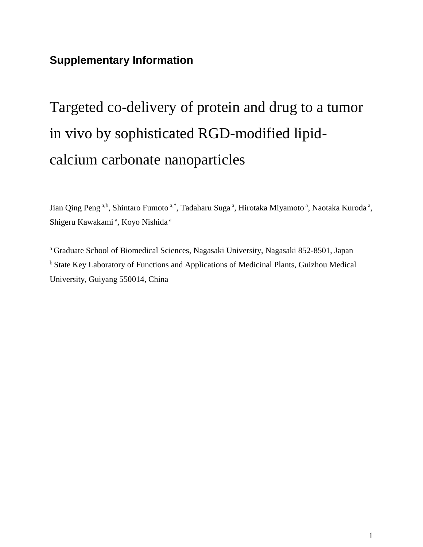## **Supplementary Information**

## Targeted co-delivery of protein and drug to a tumor in vivo by sophisticated RGD-modified lipidcalcium carbonate nanoparticles

Jian Qing Peng<sup>a,b</sup>, Shintaro Fumoto<sup>a,\*</sup>, Tadaharu Suga<sup>a</sup>, Hirotaka Miyamoto<sup>a</sup>, Naotaka Kuroda<sup>a</sup>, Shigeru Kawakami<sup>a</sup>, Koyo Nishida<sup>a</sup>

<sup>a</sup> Graduate School of Biomedical Sciences, Nagasaki University, Nagasaki 852-8501, Japan <sup>b</sup> State Key Laboratory of Functions and Applications of Medicinal Plants, Guizhou Medical University, Guiyang 550014, China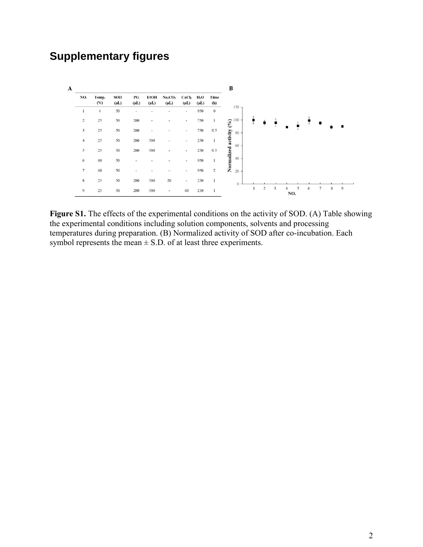## **Supplementary figures**

|                         |                        |                         |                                     |                          |                                              |                                |                     |              | B                     |              |                |                         |     |   |   |                |             |                |
|-------------------------|------------------------|-------------------------|-------------------------------------|--------------------------|----------------------------------------------|--------------------------------|---------------------|--------------|-----------------------|--------------|----------------|-------------------------|-----|---|---|----------------|-------------|----------------|
| NO.                     | Temp.<br>$(^{\circ}C)$ | <b>SOD</b><br>$(\mu L)$ | $\mathbf{P}\mathbf{G}$<br>$(\mu L)$ | <b>EtOH</b><br>$(\mu L)$ | Na <sub>2</sub> CO <sub>3</sub><br>$(\mu L)$ | CaCl <sub>2</sub><br>$(\mu L)$ | $H_2O$<br>$(\mu L)$ | Time<br>(h)  |                       |              |                |                         |     |   |   |                |             |                |
| $\mathbf{1}$            | $\overline{4}$         | 50                      | $\overline{\phantom{a}}$            |                          | $\overline{\phantom{a}}$                     | $\sim$                         | 950                 | $\mathbf{0}$ | 120                   |              |                |                         |     |   |   |                |             |                |
| $\overline{\mathbf{c}}$ | 25                     | 50                      | 200                                 |                          |                                              | ٠                              | 750                 | $\mathbf{1}$ | 100<br>(9/0)          |              |                |                         |     |   |   |                |             |                |
| $\overline{\mathbf{3}}$ | 25                     | 50                      | 200                                 | $\overline{\phantom{a}}$ |                                              | $\overline{a}$                 | 750                 | 0.5          | $80\,$                |              |                |                         |     |   |   |                |             |                |
| 4                       | 25                     | 50                      | 200                                 | 500                      |                                              |                                | 250                 | 1            | Normalized activity ( |              |                |                         |     |   |   |                |             |                |
| 5                       | 25                     | 50                      | 200                                 | 500                      | $\sim$                                       | ٠                              | 250                 | 0.5          | 60                    |              |                |                         |     |   |   |                |             |                |
| 6                       | 60                     | 50                      | ٠                                   |                          |                                              |                                | 950                 | $\mathbf{1}$ | 40                    |              |                |                         |     |   |   |                |             |                |
| $\overline{\tau}$       | 60                     | 50                      |                                     |                          |                                              | ۰                              | 950                 | $\sqrt{2}$   | 20                    |              |                |                         |     |   |   |                |             |                |
| 8                       | $25\,$                 | 50                      | 200                                 | 500                      | $20\,$                                       | $\overline{\phantom{a}}$       | 230                 | $\mathbf{1}$ | $\theta$              |              |                |                         |     |   |   |                |             |                |
| 9                       | $25\,$                 | $50\,$                  | 200                                 | 500                      | $\overline{\phantom{a}}$                     | 40                             | 210                 | 1            |                       | $\mathbf{1}$ | $\overline{2}$ | $\overline{\mathbf{3}}$ | NO. | 5 | 6 | $\overline{7}$ | $\,$ 8 $\,$ | $\overline{9}$ |

Figure S1. The effects of the experimental conditions on the activity of SOD. (A) Table showing the experimental conditions including solution components, solvents and processing temperatures during preparation. (B) Normalized activity of SOD after co-incubation. Each symbol represents the mean  $\pm$  S.D. of at least three experiments.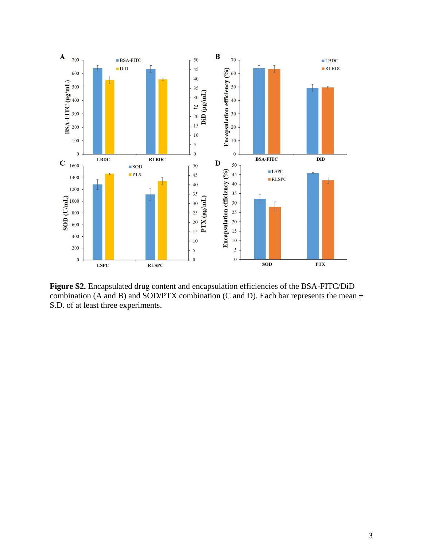

**Figure S2.** Encapsulated drug content and encapsulation efficiencies of the BSA-FITC/DiD combination (A and B) and SOD/PTX combination (C and D). Each bar represents the mean  $\pm$ S.D. of at least three experiments.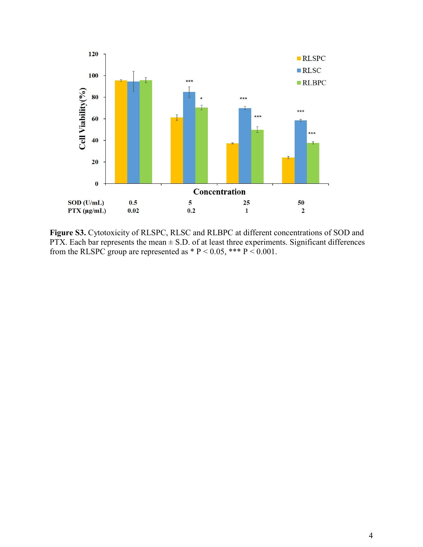

**Figure S3.** Cytotoxicity of RLSPC, RLSC and RLBPC at different concentrations of SOD and PTX. Each bar represents the mean  $\pm$  S.D. of at least three experiments. Significant differences from the RLSPC group are represented as  $* P < 0.05$ ,  $*** P < 0.001$ .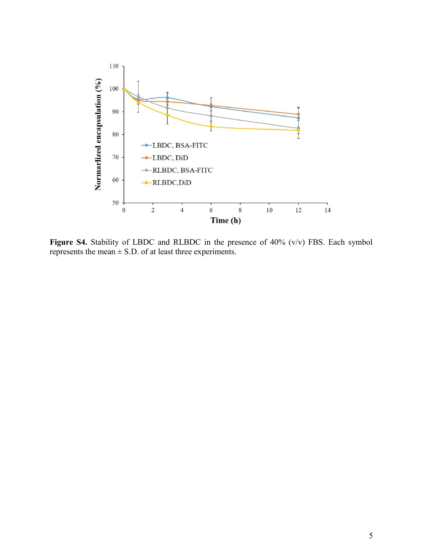

Figure S4. Stability of LBDC and RLBDC in the presence of 40% (v/v) FBS. Each symbol represents the mean  $\pm$  S.D. of at least three experiments.